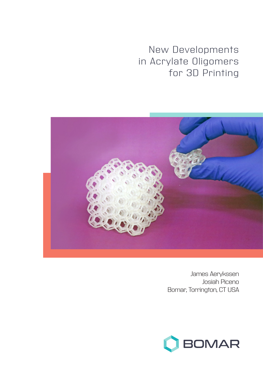New Developments in Acrylate Oligomers for 3D Printing



James Aerykssen Josiah Piceno Bomar, Torrington, CT USA

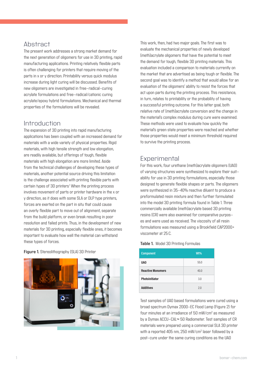## Abstract

The present work addresses a strong market demand for the next generation of oligomers for use in 3D printing, rapid manufacturing applications. Printing relatively flexible parts is often challenging for printers that require moving of the parts in x or y direction. Printability versus quick modulus increase during light curing will be discussed. Benefits of new oligomers are investigated in free-radical-curing acrylate formulations and free-radical/cationic curing acrylate/epoxy hybrid formulations. Mechanical and thermal properties of the formulations will be revealed.

## Introduction

The expansion of 3D printing into rapid manufacturing applications has been coupled with an increased demand for materials with a wide variety of physical properties. Rigid materials, with high tensile strength and low elongation, are readily available, but offerings of tough, flexible materials with high elongation are more limited. Aside from the technical challenges of developing these types of materials, another potential source driving this limitation is the challenge associated with printing flexible parts with certain types of 3D printers<sup>1</sup> When the printing process involves movement of parts or printer hardware in the x or y direction, as it does with some SLA or DLP type printers, forces are exerted on the part in situ that could cause an overly flexible part to move out of alignment, separate from the build platform, or even break resulting in poor resolution and failed prints. Thus, in the development of new materials for 3D printing, especially flexible ones, it becomes important to evaluate how well the material can withstand these types of forces.

**Figure 1.** Stereolithography (SLA) 3D Printer



This work, then, had two major goals. The first was to evaluate the mechanical properties of newly developed (meth)acrylate oligomers that have the potential to meet the demand for tough, flexible 3D printing materials. This evaluation included a comparison to materials currently on the market that are advertised as being tough or flexible. The second goal was to identify a method that would allow for an evaluation of the oligomers' ability to resist the forces that act upon parts during the printing process. This resistance, in turn, relates to printability or the probability of having a successful printing outcome. For this latter goal, both relative rate of (meth)acrylate conversion and the change in the material's complex modulus during cure were examined. These methods were used to evaluate how quickly the material's green state properties were reached and whether those properties would meet a minimum threshold required to survive the printing process.

# **Experimental**

For this work, four urethane (meth)acrylate oligomers (UAO) of varying structures were synthesized to explore their suitability for use in 3D printing formulations, especially those designed to generate flexible shapes or parts. The oligomers were synthesized in 35-40% reactive diluent to produce a preformulated resin mixture and then further formulated into the model 3D printing formula found in Table 1. Three commercially available (meth)acrylate based 3D printing resins (CR) were also examined for comparative purposes and were used as received. The viscosity of all resin formulations was measured using a Brookfield CAP2000+ viscometer at 25 C.

| Table 1. Model 3D Printing Formulas |  |
|-------------------------------------|--|
|-------------------------------------|--|

| <b>Component</b>         | W <sub>t</sub> % |
|--------------------------|------------------|
| <b>UAO</b>               | 55.0             |
| <b>Reactive Monomers</b> | 40.0             |
| Photoinitiator           | 3.0              |
| <b>Additives</b>         | 2.0              |

Test samples of UAO based formulations were cured using a broad spectrum Dymax 2000-EC Flood Lamp (Figure 2) for four minutes at an irradiance of 50 mW/cm2 as measured by a Dymax ACCU-CAL™ 50 Radiometer. Test samples of CR materials were prepared using a commercial SLA 3D printer with a reported 405 nm, 250 mW/cm2 laser followed by a post-cure under the same curing conditions as the UAO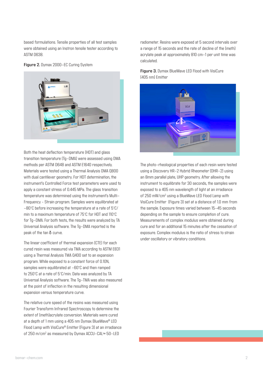based formulations. Tensile properties of all test samples were obtained using an Instron tensile tester according to ASTM D638.





Both the heat deflection temperature (HDT) and glass transition temperature (Tg-DMA) were assessed using DMA methods per ASTM D648 and ASTM E1640 respectively. Materials were tested using a Thermal Analysis DMA Q800 with dual cantilever geometry. For HDT determination, the instrument's Controlled Force test parameters were used to apply a constant stress of 0.445 MPa. The glass transition temperature was determined using the instrument's Multi-Frequency – Strain program. Samples were equilibrated at -80°C before increasing the temperature at a rate of 5°C/ min to a maximum temperature of 75°C for HDT and 110°C for Tg-DMA. For both tests, the results were analyzed by TA Universal Analysis software. The Tg-DMA reported is the peak of the tan δ curve.

The linear coefficient of thermal expansion (CTE) for each cured resin was measured via TMA according to ASTM E831 using a Thermal Analysis TMA Q400 set to an expansion program. While exposed to a constant force of 0.10N, samples were equilibrated at -60°C and then ramped to 250°C at a rate of 5°C/min. Data was analyzed by TA Universal Analysis software. The Tg-TMA was also measured at the point of inflection in the resulting dimensional expansion versus temperature curve.

The relative cure speed of the resins was measured using Fourier Transform Infrared Spectroscopy to determine the extent of (meth)acrylate conversion. Materials were cured at a depth of 1 mm using a 405 nm Dymax BlueWave® LED Flood Lamp with VisiCure® Emitter (Figure 3) at an irradiance of 250 m/cm<sup>2</sup> as measured by Dymax ACCU–CAL™ 50–LED

radiometer. Resins were exposed at 5 second intervals over a range of 15 seconds and the rate of decline of the (meth) acrylate peak at approximately 810 cm-1 per unit time was calculated.

### **Figure 3.** Dymax BlueWave LED Flood with VisiCure (405 nm) Emitter



The photo-rheological properties of each resin were tested using a Discovery HR-2 Hybrid Rheometer (DHR-2) using an 8mm parallel plate, UHP geometry. After allowing the instrument to equilibrate for 30 seconds, the samples were exposed to a 405 nm wavelength of light at an irradiance of 250 mW/cm2 using a BlueWave LED Flood Lamp with VisiCure Emitter (Figure 3) set at a distance of 1.0 mm from the sample. Exposure times varied between 15-45 seconds depending on the sample to ensure completion of cure. Measurements of complex modulus were obtained during cure and for an additional 15 minutes after the cessation of exposure. Complex modulus is the ratio of stress to strain under oscillatory or vibratory conditions.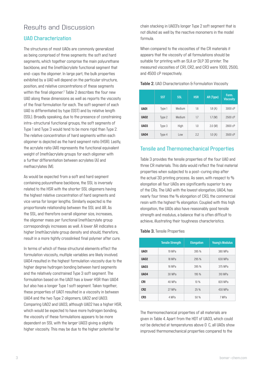# Results and Discussion

### UAO Characterization

The structures of most UAOs are commonly generalized as being comprised of three segments: the soft and hard segments, which together comprise the main polyurethane backbone, and the (meth)acrylate functional segment that end-caps the oligomer. In large part, the bulk properties exhibited by a UAO will depend on the particular structure, position, and relative concentrations of these segments within the final oligomer. $2$  Table 2 describes the four new UAO along these dimensions as well as reports the viscosity of the final formulation for each. The soft segment of each UAO is differentiated by type (SST) and by relative length (SSL). Broadly speaking, due to the presence of constraining intra-structural functional groups, the soft segments of Type 1 and Type 3 would tend to be more rigid than Type 2. The relative concentration of hard segments within each oligomer is depicted as the hard segment ratio (HSR). Lastly, the acrylate ratio (AR) represents the functional equivalent weight of (meth)acrylate groups for each oligomer with a further differentiation between acrylates (A) and methacrylates (M).

As would be expected from a soft and hard segment containing polyurethane backbone, the SSL is inversely related to the HSR with the shorter SSL oligomers having the highest relative concentration of hard segments and vice versa for longer lengths. Similarly expected is the proportionate relationship between the SSL and AR. As the SSL, and therefore overall oligomer size, increases, the oligomer mass per functional (meth)acrylate group correspondingly increases as well. A lower AR indicates a higher (meth)acrylate group density and should, therefore, result in a more tightly crosslinked final polymer after cure.

In terms of which of these structural elements effect the formulation viscosity, multiple variables are likely involved. UAO4 resulted in the highest formulation viscosity due to the higher degree hydrogen bonding between hard segments and the relatively constrained Type 3 soft segment. The formulation based on the UAO1 has a lower HSR than UAO4 but also has a longer Type 1 soft segment. Taken together, these properties of UAO1 resulted in a viscosity in between UAO4 and the two Type 2 oligomers, UAO2 and UAO3. Comparing UAO2 and UAO3, although UAO2 has a higher HSR, which would be expected to have more hydrogen bonding, the viscosity of these formulations appears to be more dependent on SSL with the larger UAO3 giving a slightly higher viscosity. This may be due to the higher potential for

chain stacking in UAO3's longer Type 2 soft segment that is not diluted as well by the reactive monomers in the model formula.

When compared to the viscosities of the CR materials it appears that the viscosity of all formulations should be suitable for printing with an SLA or DLP 3D printer. The measured viscosities of CR1, CR2, and CR3 were 1000, 2500, and 4500 cP respectively.

|             | <b>SST</b> | <b>SSL</b> | <b>HSR</b> | AR (Type) | Form.<br><b>Viscosity</b> |
|-------------|------------|------------|------------|-----------|---------------------------|
| <b>UA01</b> | Type 1     | Medium     | 1.6        | 1.8(A)    | 3000 cP                   |
| <b>UA02</b> | Type 2     | Medium     | 1.7        | 1.7(M)    | 2500 cP                   |
| <b>UA03</b> | Type 3     | High       | 1.0        | 2.0 (M)   | 2800 cP                   |
| <b>UA04</b> | Type 4     | Low        | 2.2        | 1.0(A)    | 3500 cP                   |

#### **Table 2.** UAO Characterization & Formulation Viscosity

### Tensile and Thermomechanical Properties

Table 3 provides the tensile properties of the four UAO and three CR materials. This data would reflect the final material properties when subjected to a post-curing step after the actual 3D printing process. As seen, with respect to % elongation all four UAOs are significantly superior to any of the CRs. The UAO with the lowest elongation, UAO4, has nearly four times the % elongation of CR3, the commercial resin with the highest % elongation. Coupled with this high elongation, the UAOs also have reasonably good tensile strength and modulus, a balance that is often difficult to achieve, illustrating their toughness characteristics.

#### **Table 3.** Tensile Properties

|                 | <b>Tensile Strength</b> | <b>Elongation</b> | <b>Young's Modulus</b> |
|-----------------|-------------------------|-------------------|------------------------|
| <b>UA01</b>     | 19 MPa                  | 395 %             | 380 MPa                |
| <b>UA02</b>     | 18 MPa                  | 295 %             | 630 MPa                |
| <b>UA03</b>     | 16 MPa                  | 395 %             | 375 MPa                |
| <b>UA04</b>     | 30 MPa                  | 195 %             | 310 MPa                |
| CR <sub>1</sub> | 40 MPa                  | 10%               | 820 MPa                |
| CR <sub>2</sub> | 27 MPa                  | 25 %              | 430 MPa                |
| CR <sub>3</sub> | 4 MPa                   | 50 %              | 7 MPa                  |

The thermomechanical properties of all materials are given in Table 4. Apart from the HDT of UAO3, which could not be detected at temperatures above 0 C, all UAOs show improved thermomechanical properties compared to the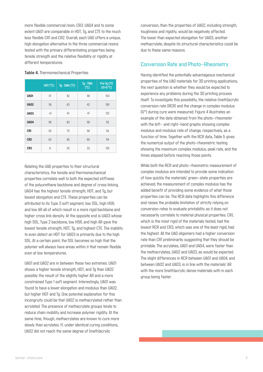more flexible commercial resin, CR3. UAO4 and to some extent UAO1 are comparable in HDT, Tg, and CTE to the much less flexible CR1 and CR2. Overall, each UAO offers a unique, high elongation alternative to the three commercial resins tested with the primary differentiating properties being tensile strength and the relative flexibility or rigidity at different temperatures.

|                 | HDT (°C) | $Tg$ - DMA ( $^{\circ}$ C) | Tg - TMA<br>$(^{\circ}C)$ | Pre-Tg CTE<br>$(10-6/°C)$ |
|-----------------|----------|----------------------------|---------------------------|---------------------------|
| <b>UA01</b>     | 47       | 82                         | 48                        | 103                       |
| <b>UA02</b>     | 36       | 63                         | 42                        | 100                       |
| <b>UA03</b>     | < 0      | 61                         | 41                        | 122                       |
| <b>UA04</b>     | 58       | 83                         | 58                        | 93                        |
| CR1             | 55       | 70                         | 58                        | 55                        |
| CR <sub>2</sub> | 63       | 82                         | 60                        | 94                        |
| CR <sub>3</sub> | 8        | 35                         | 33                        | 120                       |

#### **Table 4.** Thermomechanical Properties

Relating the UAO properties to their structural characteristics, the tensile and thermomechanical properties correlate well to both the expected stiffness of the polyurethane backbone and degree of cross linking. UAO4 has the highest tensile strength, HDT, and Tg, but lowest elongation and CTE. These properties can be attributed to its Type 3 soft segment, low SSL, high HSR, and low AR all of which result in a more rigid backbone and higher cross link density. At the opposite end is UAO3 whose high SSL, Type 2 backbone, low HSR, and high AR gave the lowest tensile strength, HDT, Tg, and highest CTE. The inability to even detect an HDT for UAO3 is primarily due to the high SSL. At a certain point, the SSL becomes so high that the polymer will always have areas within it that remain flexible even at low temperatures.

UAO1 and UAO2 are in between these two extremes. UAO1 shows a higher tensile strength, HDT, and Tg than UAO2 possibly the result of the slightly higher AR and a more constrained Type 1 soft segment. Interestingly, UAO1 was found to have a lower elongation and modulus than UAO2, but higher HDT and Tg. One potential explanation for this incongruity could be that UAO2 is methacrylated rather than acrylated. The presence of methacrylate groups tends to reduce chain mobility and increase polymer rigidity. At the same time, though, methacrylates are known to cure more slowly than acrylates. If, under identical curing conditions, UAO2 did not reach the same degree of (meth)acrylic

conversion, then the properties of UAO2, including strength, toughness and rigidity, would be negatively affected. The lower than expected elongation for UAO3, another methacrylate, despite its structural characteristics could be due to these same reasons.

### Conversion Rate and Photo-Rheometry

Having identified the potentially advantageous mechanical properties of the UAO materials for 3D printing applications, the next question is whether they would be expected to experience any problems during the 3D printing process itself. To investigate this possibility, the relative (meth)acrylic conversion rate (RCR) and the change in complex modulus (G\*) during cure were measured. Figure 4 illustrates an example of the data obtained from the photo-rheometer with the left- and right-hand graphs showing complex modulus and modulus rate of change, respectively, as a function of time. Together with the RCR data, Table 5 gives the numerical output of the photo-rheometric testing showing the maximum complex modulus, peak rate, and the times elapsed before reaching those points.

While both the RCR and photo-rheometric measurement of complex modulus are intended to provide some indication of how quickly the materials' green-state properties are achieved, the measurement of complex modulus has the added benefit of providing some evidence of what those properties can be. The RCR data highlights this difference and raises the probable limitation of strictly relying on conversion rates to evaluate printability as it does not necessarily correlate to material physical properties. CR1, which is the most rigid of the materials tested, had the lowest RCR and CR3, which was one of the least rigid, had the highest. All the UAO oligomers had a higher conversion rate than CR1 preliminarily suggesting that they should be printable. The acrylates, UAO1 and UAO4, were faster than the methacrylates, UAO2 and UAO3, as would be expected. The slight differences in RCR between UAO1 and UAO4, and between UAO2 and UAO3, is in line with the materials' AR with the more (meth)acrylic dense materials with in each group being faster.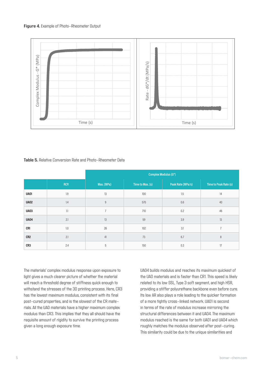#### **Figure 4.** Example of Photo-Rheometer Output



#### **Table 5.** Relative Conversion Rate and Photo-Rheometer Data

|                 |     | <b>Complex Modulus (G*)</b> |                  |                   |                       |
|-----------------|-----|-----------------------------|------------------|-------------------|-----------------------|
|                 | RCR | Max. (MPa)                  | Time to Max. (s) | Peak Rate (MPa/s) | Time to Peak Rate (s) |
| <b>UA01</b>     | 1.9 | 13                          | 100              | 1.5               | 14                    |
| <b>UA02</b>     | 1.4 | $\boldsymbol{9}$            | 570              | 0.6               | 40                    |
| <b>UA03</b>     | 1.1 | $\overline{7}$              | 710              | 0.2               | 46                    |
| <b>UA04</b>     | 2.1 | 13                          | 59               | 3.9               | 13                    |
| CR1             | 1.0 | 26                          | 102              | 3.1               | $\overline{7}$        |
| CR <sub>2</sub> | 2.1 | 41                          | 73               | 6.7               | $\, 8$                |
| CR3             | 2.4 | 5                           | 150              | 0.3               | 17                    |

The materials' complex modulus response upon exposure to light gives a much clearer picture of whether the material will reach a threshold degree of stiffness quick enough to withstand the stresses of the 3D printing process. Here, CR3 has the lowest maximum modulus, consistent with its final post-cured properties, and is the slowest of the CR materials. All the UAO materials have a higher maximum complex modulus than CR3. This implies that they all should have the requisite amount of rigidity to survive the printing process given a long enough exposure time.

UAO4 builds modulus and reaches its maximum quickest of the UAO materials and is faster than CR1. This speed is likely related to its low SSL, Type 3 soft segment, and high HSR, providing a stiffer polyurethane backbone even before cure. Its low AR also plays a role leading to the quicker formation of a more tightly cross-linked network. UAO1 is second in terms of the rate of modulus increase mirroring the structural differences between it and UAO4. The maximum modulus reached is the same for both UAO1 and UAO4 which roughly matches the modulus observed after post-curing. This similarity could be due to the unique similarities and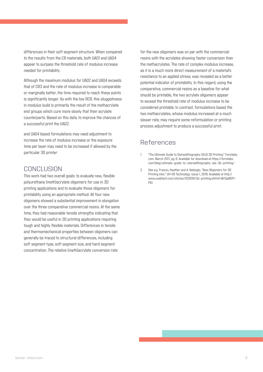differences in their soft segment structure. When compared to the results from the CR materials, both UAO1 and UAO4 appear to surpass the threshold rate of modulus increase needed for printability.

Although the maximum modulus for UAO2 and UAO4 exceeds that of CR3 and the rate of modulus increase is comparable or marginally better, the time required to reach these points is significantly longer. As with the low RCR, this sluggishness in modulus build is primarily the result of the methacrylate end groups which cure more slowly that their acrylate counterparts. Based on this data, to improve the chances of a successful print the UAO2.

and UAO4 based formulations may need adjustment to increase the rate of modulus increase or the exposure time per layer may need to be increased if allowed by the particular 3D printer

## CONCLUSION

This work had two overall goals: to evaluate new, flexible polyurethane (meth)acrylate oligomers for use in 3D printing applications and to evaluate those oligomers for printability using an appropriate method. All four new oligomers showed a substantial improvement in elongation over the three comparative commercial resins. At the same time, they had reasonable tensile strengths indicating that they would be useful in 3D printing applications requiring tough and highly flexible materials. Differences in tensile and thermomechanical properties between oligomers can generally be traced to structural differences, including soft segment type, soft segment size, and hard segment concentration. The relative (meth)acrylate conversion rate

for the new oligomers was on par with the commercial resins with the acrylates showing faster conversion than the methacrylates. The rate of complex modulus increase, as it is a much more direct measurement of a material's resistance to an applied stress, was revealed as a better potential indicator of printability. In this regard, using the comparative, commercial resins as a baseline for what should be printable, the two acrylate oligomers appear to exceed the threshold rate of modulus increase to be considered printable. In contrast, formulations based the two methacrylates, whose modulus increased at a much slower rate, may require some reformulation or printing process adjustment to produce a successful print.

## References

- 1. "The Ultimate Guide to Stereolithography (SLA) 3D Printing." Formlabs. com. March 2017, pg. 6. Available for download at https://formlabs. com/blog/ultimate-guide-to-stereolithography-sla-3d-printing/.
- 2. See e.g. Francis, Heather and A. Nebioglu. "New Oligomers for 3D Printing Inks." UV+EB Technology. Issue 1, 2016. Available at http:// www.uvebtech.com/stories/022616/3d-printing.shtml#.WrQqMGff-PIU.